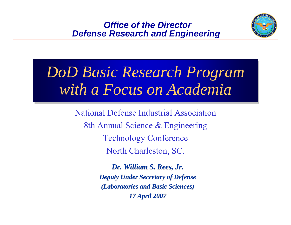#### *Office of the Director Defense Research and Engineering*



# *DoD Basic Research Program DoD Basic Research Program with a Focus on Academia with a Focus on Academia*

National Defense Industrial Association8th Annual Science & Engineering Technology Conference North Charleston, SC.

> *Dr. William S. Rees, Jr. Dr. William S. Rees, Deputy Under Secretary of Defense Deputy Under Secretary of Defense (Laboratories and Basic Sciences) (Laboratories and Basic Sciences) 17 April 2007 17 April 2007*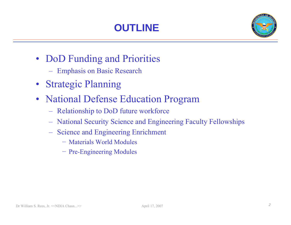

- DoD Funding and Priorities
	- Emphasis on Basic Research
- Strategic Planning
- National Defense Education Program
	- Relationship to DoD future workforce
	- National Security Science and Engineering Faculty Fellowships
	- Science and Engineering Enrichment
		- − Materials World Modules
		- − Pre-Engineering Modules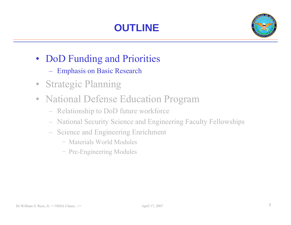

- DoD Funding and Priorities
	- Emphasis on Basic Research
- Strategic Planning
- National Defense Education Program
	- Relationship to DoD future workforce
	- National Security Science and Engineering Faculty Fellowships
	- Science and Engineering Enrichment
		- − Materials World Modules
		- − Pre-Engineering Modules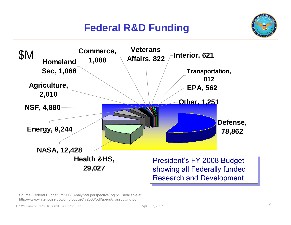## **Federal R&D Funding**





Source: Federal Budget FY 2008 Analytical perspective, pg 51+ available at http://www.whitehouse.gov/omb/budget/fy2008/pdf/apers/crosscutting.pdf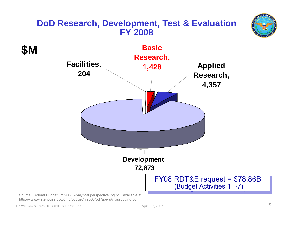#### **DoD Research, Development, Test & Evaluation FY 2008**



http://www.whitehouse.gov/omb/budget/fy2008/pdf/apers/crosscutting.pdf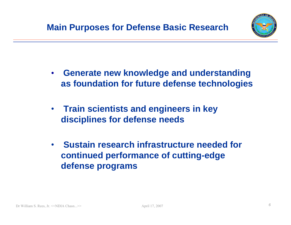

- • **Generate new knowledge and understanding as foundation for future defense technologies**
- **Train scientists and engineers in key disciplines for defense needs**
- • **Sustain research infrastructure needed for continued performance of cutting-edge defense programs**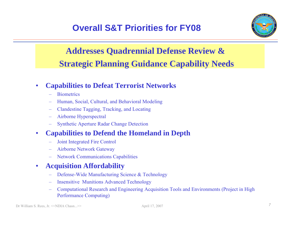

## **Addresses Quadrennial Defense Review & Strategic Planning Guidance Capability Needs**

#### •**Capabilities to Defeat Terrorist Networks**

- **Biometrics**
- Human, Social, Cultural, and Behavioral Modeling
- Clandestine Tagging, Tracking, and Locating
- Airborne Hyperspectral
- Synthetic Aperture Radar Change Detection

#### •**Capabilities to Defend the Homeland in Depth**

- Joint Integrated Fire Control
- Airborne Network Gateway
- Network Communications Capabilities

#### •**Acquisition Affordability**

- Defense-Wide Manufacturing Science & Technology
- Insensitive Munitions Advanced Technology
- Computational Research and Engineering Acquisition Tools and Environments (Project in High Performance Computing)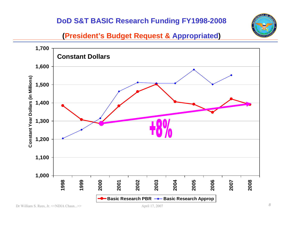#### **DoD S&T BASIC Research Funding FY1998-2008**



#### **(President's Budget Request & Appropriated)**

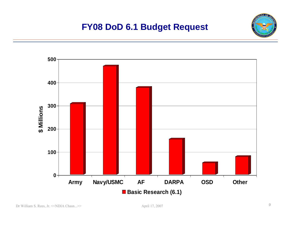#### **FY08 DoD 6.1 Budget Request**

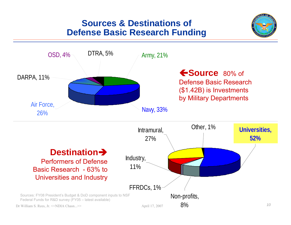#### **Sources & Destinations of Defense Basic Research Funding**



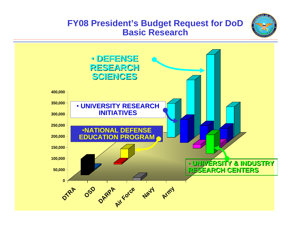

#### **FY08 President's Budget Request for DoD Basic Research**

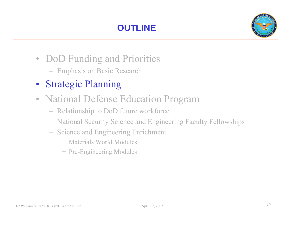

- DoD Funding and Priorities
	- Emphasis on Basic Research
- Strategic Planning
- National Defense Education Program
	- Relationship to DoD future workforce
	- National Security Science and Engineering Faculty Fellowships
	- Science and Engineering Enrichment
		- − Materials World Modules
		- − Pre-Engineering Modules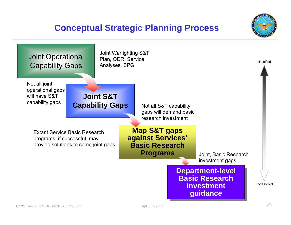#### **Conceptual Strategic Planning Process**



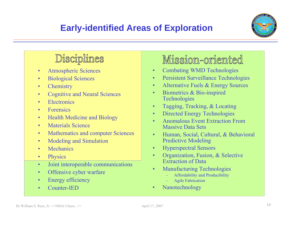

## Disciplines

- •Atmospheric Sciences
- •Biological Sciences
- •**Chemistry**
- •Cognitive and Neural Sciences
- •**Electronics**
- •• Forensics
- •**Health Medicine and Biology**
- •Materials Science
- •Mathematics and computer Sciences
- •Modeling and Simulation
- •**Mechanics**
- •**Physics**
- •Joint interoperable communications
- •Offensive cyber warfare
- •Energy efficiency
- •Counter-IED

## Mission-oriented

- $\bullet$ Combating WMD Technologies
- •Persistent Surveillance Technologies
- •Alternative Fuels & Energy Sources
- • Biometrics & Bio-inspired Technologies
- •Tagging, Tracking, & Locating
- •Directed Energy Technologies
- • Anomalous Event Extraction From Massive Data Sets
- • Human, Social, Cultural, & Behavioral Predictive Modeling
- •Hyperspectral Sensors
- • Organization, Fusion, & Selective Extraction of Data
- • Manufacturing Technologies
	- Affordability and Producibility
	- Agile Fabrication
- •Nanotechnology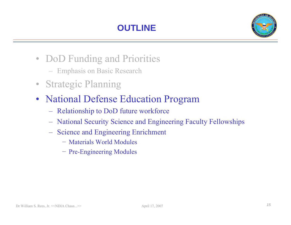

- DoD Funding and Priorities
	- Emphasis on Basic Research
- Strategic Planning
- National Defense Education Program
	- Relationship to DoD future workforce
	- National Security Science and Engineering Faculty Fellowships
	- Science and Engineering Enrichment
		- − Materials World Modules
		- − Pre-Engineering Modules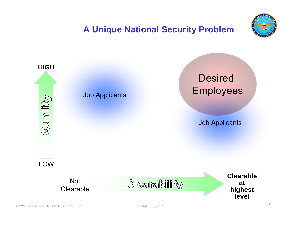

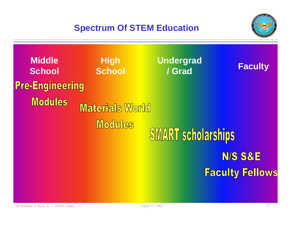### **Spectrum Of STEM Education**



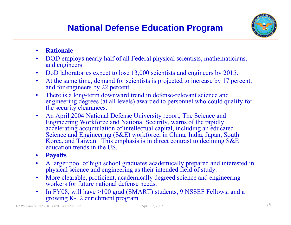

- •**Rationale**
- •DOD employs nearly half of all Federal physical scientists, mathematicians, and engineers.
- •DoD laboratories expect to lose 13,000 scientists and engineers by 2015.
- • At the same time, demand for scientists is projected to increase by 17 percent, and for engineers by 22 percent.
- • There is a long-term downward trend in defense-relevant science and engineering degrees (at all levels) awarded to personnel who could qualify for the security clearances.
- • An April 2004 National Defense University report, The Science and Engineering Workforce and National Security, warns of the rapidly accelerating accumulation of intellectual capital, including an educated Science and Engineering (S&E) workforce, in China, India, Japan, South Korea, and Taiwan. This emphasis is in direct contrast to declining S&E education trends in the US.
- •**Payoffs**
- • A larger pool of high school graduates academically prepared and interested in physical science and engineering as their intended field of study.
- • More clearable, proficient, academically degreed science and engineering workers for future national defense needs.
- • In FY08, will have >100 grad (SMART) students, 9 NSSEF Fellows, and a growing K-12 enrichment program.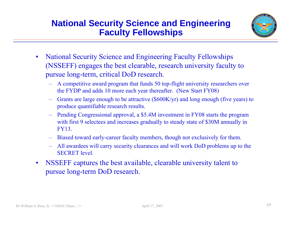#### **National Security Science and Engineering Faculty Fellowships**



- • National Security Science and Engineering Faculty Fellowships (NSSEFF) engages the best clearable, research university faculty to pursue long-term, critical DoD research.
	- A competitive award program that funds 50 top-flight university researchers over the FYDP and adds 10 more each year thereafter. (New Start FY08)
	- – Grants are large enough to be attractive (\$600K/yr) and long enough (five years) to produce quantifiable research results.
	- – Pending Congressional approval, a \$5.4M investment in FY08 starts the program with first 9 selectees and increases gradually to steady state of \$30M annually in FY13.
	- Biased toward early-career faculty members, though not exclusively for them.
	- – All awardees will carry security clearances and will work DoD problems up to the SECRET level.
- • NSSEFF captures the best available, clearable university talent to pursue long-term DoD research.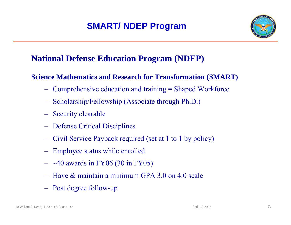### **SMART/ NDEP Program**



### **National Defense Education Program (NDEP)**

#### **Science Mathematics and Research for Transformation (SMART)**

- Comprehensive education and training = Shaped Workforce
- Scholarship/Fellowship (Associate through Ph.D.)
- Security clearable
- Defense Critical Disciplines
- Civil Service Payback required (set at 1 to 1 by policy)
- Employee status while enrolled
- $-$  ~40 awards in FY06 (30 in FY05)
- Have & maintain a minimum GPA 3.0 on 4.0 scale
- Post degree follow-up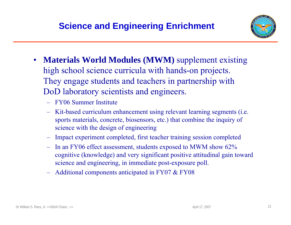

- $\bullet$  **Materials World Modules (MWM)** supplement existing high school science curricula with hands-on projects. They engage students and teachers in partnership with DoD laboratory scientists and engineers.
	- FY06 Summer Institute
	- Kit-based curriculum enhancement using relevant learning segments (i.e. sports materials, concrete, biosensors, etc.) that combine the inquiry of science with the design of engineering
	- Impact experiment completed, first teacher training session completed
	- In an FY06 effect assessment, students exposed to MWM show 62% cognitive (knowledge) and very significant positive attitudinal gain toward science and engineering, in immediate post-exposure poll.
	- Additional components anticipated in FY07 & FY08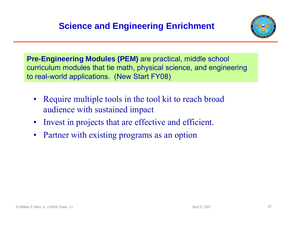

**Pre-Engineering Modules (PEM)** are practical, middle school curriculum modules that tie math, physical science, and engineering to real-world applications. (New Start FY08)

- • Require multiple tools in the tool kit to reach broad audience with sustained impact
- •Invest in projects that are effective and efficient.
- •Partner with existing programs as an option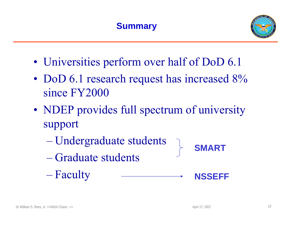

- Universities perform over half of DoD 6.1
- DoD 6.1 research request has increased  $8\%$ since FY2000
- NDEP provides full spectrum of university support
	- Undergraduate students
	- Graduate students
	- Faculty